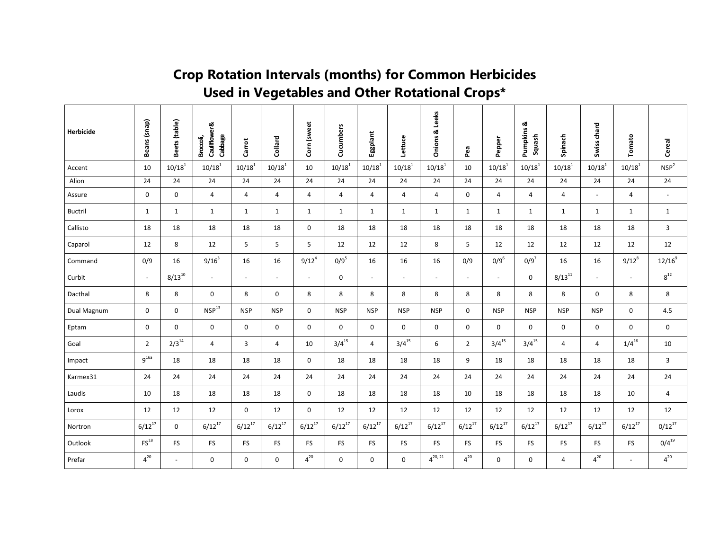## **Crop Rotation Intervals (months) for Common Herbicides Used in Vegetables and Other Rotational Crops\***

| Herbicide      | Beans (snap)       | Beets (table)  | Cauliflower &<br>Cabbage<br>Broccoli, | Carrot         | Collard                  | Corn (sweet  | Cucumbers      | Eggplant       | Lettuce        | <b>Onions &amp; Leeks</b> | Pea            | Pepper       | ಯ<br>Pumpkins<br>Squash | Spinach      | Swiss chard              | Tomato         | Cereal           |
|----------------|--------------------|----------------|---------------------------------------|----------------|--------------------------|--------------|----------------|----------------|----------------|---------------------------|----------------|--------------|-------------------------|--------------|--------------------------|----------------|------------------|
| Accent         | 10                 | $10/18^{1}$    | $10/18^{1}$                           | $10/18^{1}$    | $10/18^{1}$              | 10           | $10/18^{1}$    | $10/18^{1}$    | $10/18^{1}$    | $10/18^{1}$               | 10             | $10/18^{1}$  | $10/18^{1}$             | $10/18^{1}$  | $10/18^{1}$              | $10/18^{1}$    | NSP <sup>2</sup> |
| Alion          | 24                 | 24             | 24                                    | 24             | 24                       | 24           | 24             | 24             | 24             | 24                        | 24             | 24           | 24                      | 24           | 24                       | 24             | 24               |
| Assure         | $\mathbf 0$        | 0              | $\overline{4}$                        | 4              | $\overline{4}$           | 4            | $\overline{4}$ | $\overline{4}$ | $\overline{4}$ | $\overline{4}$            | 0              | 4            | 4                       | 4            | $\overline{\phantom{a}}$ | 4              | $\blacksquare$   |
| <b>Buctril</b> | $\mathbf{1}$       | $\mathbf{1}$   | $\mathbf{1}$                          | $\mathbf{1}$   | 1                        | $\mathbf{1}$ | $\mathbf{1}$   | $\mathbf{1}$   | $\mathbf{1}$   | $\mathbf{1}$              | $\mathbf{1}$   | $\mathbf{1}$ | $\mathbf{1}$            | $\mathbf{1}$ | $\mathbf{1}$             | $\mathbf{1}$   | $\mathbf{1}$     |
| Callisto       | 18                 | 18             | 18                                    | 18             | 18                       | 0            | 18             | 18             | 18             | 18                        | 18             | 18           | 18                      | 18           | 18                       | 18             | $\mathbf{3}$     |
| Caparol        | 12                 | 8              | 12                                    | 5              | 5                        | 5            | 12             | 12             | 12             | 8                         | 5              | 12           | 12                      | 12           | 12                       | 12             | 12               |
| Command        | 0/9                | 16             | $9/16^3$                              | 16             | 16                       | $9/12^{4}$   | $0/9^5$        | 16             | 16             | 16                        | 0/9            | $0/9^6$      | $0/9^7$                 | 16           | 16                       | $9/12^{8}$     | $12/16^{9}$      |
| Curbit         | $\sim$             | $8/13^{10}$    | $\blacksquare$                        | $\blacksquare$ | $\overline{\phantom{a}}$ | $\sim$       | $\mathbf 0$    | $\blacksquare$ | $\blacksquare$ | $\blacksquare$            | $\blacksquare$ | $\sim$       | $\mathbf 0$             | $8/13^{11}$  | $\overline{\phantom{a}}$ | $\sim$         | $8^{12}$         |
| Dacthal        | 8                  | 8              | $\mathbf 0$                           | 8              | $\mathbf 0$              | 8            | 8              | 8              | 8              | 8                         | 8              | 8            | 8                       | 8            | 0                        | 8              | 8                |
| Dual Magnum    | 0                  | $\mathbf 0$    | NSP <sup>13</sup>                     | <b>NSP</b>     | <b>NSP</b>               | 0            | <b>NSP</b>     | <b>NSP</b>     | <b>NSP</b>     | <b>NSP</b>                | 0              | <b>NSP</b>   | <b>NSP</b>              | <b>NSP</b>   | <b>NSP</b>               | 0              | 4.5              |
| Eptam          | 0                  | $\mathbf 0$    | 0                                     | $\mathbf 0$    | 0                        | 0            | $\mathbf 0$    | $\mathbf 0$    | $\mathbf 0$    | $\mathbf 0$               | 0              | 0            | $\mathbf 0$             | 0            | 0                        | 0              | $\mathbf 0$      |
| Goal           | $\overline{2}$     | $2/3^{14}$     | $\overline{4}$                        | 3              | 4                        | 10           | $3/4^{15}$     | $\overline{4}$ | $3/4^{15}$     | 6                         | $\overline{2}$ | $3/4^{15}$   | $3/4^{15}$              | 4            | 4                        | $1/4^{16}$     | 10               |
| Impact         | $9^{16a}$          | 18             | 18                                    | 18             | 18                       | 0            | 18             | 18             | 18             | 18                        | 9              | 18           | 18                      | 18           | 18                       | 18             | 3                |
| Karmex31       | 24                 | 24             | 24                                    | 24             | 24                       | 24           | 24             | 24             | 24             | 24                        | 24             | 24           | 24                      | 24           | 24                       | 24             | 24               |
| Laudis         | 10                 | 18             | 18                                    | 18             | 18                       | 0            | 18             | 18             | 18             | 18                        | 10             | 18           | 18                      | 18           | 18                       | 10             | $\overline{4}$   |
| Lorox          | 12                 | 12             | 12                                    | $\Omega$       | 12                       | $\mathbf 0$  | 12             | 12             | 12             | 12                        | 12             | 12           | 12                      | 12           | 12                       | 12             | 12               |
| Nortron        | $6/12^{17}$        | $\Omega$       | $6/12^{17}$                           | $6/12^{17}$    | $6/12^{17}$              | $6/12^{17}$  | $6/12^{17}$    | $6/12^{17}$    | $6/12^{17}$    | $6/12^{17}$               | $6/12^{17}$    | $6/12^{17}$  | $6/12^{17}$             | $6/12^{17}$  | $6/12^{17}$              | $6/12^{17}$    | $0/12^{17}$      |
| Outlook        | $\mathsf{FS}^{18}$ | FS             | <b>FS</b>                             | <b>FS</b>      | FS                       | <b>FS</b>    | <b>FS</b>      | <b>FS</b>      | <b>FS</b>      | <b>FS</b>                 | <b>FS</b>      | FS.          | <b>FS</b>               | FS.          | <b>FS</b>                | <b>FS</b>      | $0/4^{19}$       |
| Prefar         | $4^{20}$           | $\blacksquare$ | 0                                     | 0              | $\mathbf 0$              | $4^{20}$     | $\mathbf 0$    | $\mathbf 0$    | $\mathbf 0$    | $4^{20, 21}$              | $4^{20}$       | 0            | 0                       | 4            | $4^{20}$                 | $\blacksquare$ | $4^{20}$         |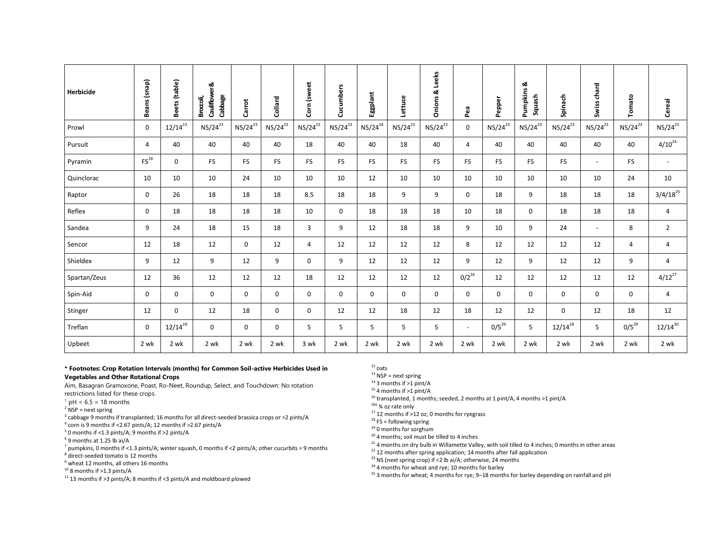| Herbicide    | Beans (snap)       | Beets (table) | Cauliflower &<br>Cabbage<br>Broccoli, | Carrot       | Collard      | Corn (sweet    | Cucumbers    | Eggplant     | Lettuce      | <b>Dnions &amp; Leeks</b> | Pea            | Pepper       | Pumpkins &<br>Squash | Spinach      | Swiss chard              | Tomato       | Cereal         |
|--------------|--------------------|---------------|---------------------------------------|--------------|--------------|----------------|--------------|--------------|--------------|---------------------------|----------------|--------------|----------------------|--------------|--------------------------|--------------|----------------|
| Prowl        | 0                  | $12/14^{22}$  | $NS/24^{23}$                          | $NS/24^{23}$ | $NS/24^{23}$ | $NS/24^{23}$   | $NS/24^{23}$ | $NS/24^{18}$ | $NS/24^{23}$ | $NS/24^{23}$              | 0              | $NS/24^{23}$ | $NS/24^{23}$         | $NS/24^{23}$ | $NS/24^{23}$             | $NS/24^{23}$ | $NS/24^{23}$   |
| Pursuit      | 4                  | 40            | 40                                    | 40           | 40           | 18             | 40           | 40           | 18           | 40                        | $\overline{4}$ | 40           | 40                   | 40           | 40                       | 40           | $4/10^{24}$    |
| Pyramin      | $\mathsf{FS}^{18}$ | 0             | <b>FS</b>                             | <b>FS</b>    | <b>FS</b>    | <b>FS</b>      | <b>FS</b>    | <b>FS</b>    | <b>FS</b>    | <b>FS</b>                 | <b>FS</b>      | FS           | <b>FS</b>            | <b>FS</b>    | $\overline{\phantom{a}}$ | <b>FS</b>    | $\sim$         |
| Quinclorac   | 10                 | 10            | 10                                    | 24           | 10           | 10             | 10           | 12           | 10           | 10                        | 10             | 10           | 10                   | 10           | 10                       | 24           | 10             |
| Raptor       | 0                  | 26            | 18                                    | 18           | 18           | 8.5            | 18           | 18           | 9            | 9                         | 0              | 18           | 9                    | 18           | 18                       | 18           | $3/4/18^{25}$  |
| Reflex       | 0                  | 18            | 18                                    | 18           | 18           | 10             | 0            | 18           | 18           | 18                        | 10             | 18           | 0                    | 18           | 18                       | 18           | $\overline{4}$ |
| Sandea       | 9                  | 24            | 18                                    | 15           | 18           | 3              | 9            | 12           | 18           | 18                        | 9              | 10           | 9                    | 24           | $\sim$                   | 8            | $\overline{2}$ |
| Sencor       | 12                 | 18            | 12                                    | 0            | 12           | $\overline{4}$ | 12           | 12           | 12           | 12                        | 8              | 12           | 12                   | 12           | 12                       | 4            | 4              |
| Shieldex     | 9                  | 12            | 9                                     | 12           | 9            | $\mathbf 0$    | 9            | 12           | 12           | 12                        | 9              | 12           | 9                    | 12           | 12                       | 9            | $\overline{4}$ |
| Spartan/Zeus | 12                 | 36            | 12                                    | 12           | 12           | 18             | 12           | 12           | 12           | 12                        | $0/2^{26}$     | 12           | 12                   | 12           | 12                       | 12           | $4/12^{27}$    |
| Spin-Aid     | 0                  | $\mathbf 0$   | 0                                     | $\mathbf 0$  | $\mathbf 0$  | $\mathbf 0$    | $\mathbf 0$  | 0            | $\mathbf 0$  | 0                         | 0              | 0            | 0                    | 0            | 0                        | 0            | $\overline{4}$ |
| Stinger      | 12                 | 0             | 12                                    | 18           | $\mathbf 0$  | $\mathbf 0$    | 12           | 12           | 18           | 12                        | 18             | 12           | 12                   | $\mathbf 0$  | 12                       | 18           | 12             |
| Treflan      | 0                  | $12/14^{28}$  | $\mathbf 0$                           | $\mathbf 0$  | $\mathbf 0$  | 5              | 5            | 5            | 5            | 5                         | $\blacksquare$ | $0/5^{29}$   | 5                    | $12/14^{28}$ | 5                        | $0/5^{29}$   | $12/14^{30}$   |
| Upbeet       | 2 wk               | 2 wk          | 2 wk                                  | 2 wk         | 2 wk         | 3 wk           | 2 wk         | 2 wk         | 2 wk         | 2 wk                      | 2 wk           | 2 wk         | 2 wk                 | 2 wk         | 2 wk                     | 2 wk         | 2 wk           |

## **\* Footnotes: Crop Rotation Intervals (months) for Common Soil-active Herbicides Used in Vegetables and Other Rotational Crops**

Aim, Basagran Gramoxone, Poast, Ro-Neet, Roundup, Select, and Touchdown: No rotation restrictions listed for these crops.

- $1$  pH < 6.5 = 18 months
- $2$  NSP = next spring

 $3$  cabbage 9 months if transplanted; 16 months for all direct-seeded brassica crops or >2 pints/A

4 corn is 9 months if <2.67 pints/A; 12 months if >2.67 pints/A

- $5$  0 months if <1.3 pints/A; 9 months if >2 pints/A
- $<sup>6</sup>$  9 months at 1.25 lb ai/A</sup>

<sup>7</sup> pumpkins, 0 months if <1.3 pints/A; winter squash, 0 months if <2 pints/A; other cucurbits = 9 months <sup>8</sup> direct-seeded tomato is 12 months

<sup>9</sup> wheat 12 months, all others 16 months

 $10$  8 months if >1.3 pints/A

<sup>11</sup> 13 months if >3 pints/A; 8 months if <3 pints/A and moldboard plowed

 $12$  oats

 $13$  NSP = next spring

 $14$  3 months if  $>1$  pint/A

 $15$  4 months if >1 pint/A

<sup>16</sup> transplanted, 1 months; seeded, 2 months at 1 pint/A, 4 months >1 pint/A

 $16a$   $\frac{3}{4}$  oz rate only

<sup>17</sup> 12 months if  $>$ 12 oz; 0 months for ryegrass

 $18 FS = 6$ llowing spring

<sup>19</sup> 0 months for sorghum

<sup>20</sup> 4 months; soil must be tilled to 4 inches

 $21$  4 months on dry bulb in Willamette Valley, with soil tilled to 4 inches; 0 months in other areas

 $^{22}$  12 months after spring application; 14 months after fall application

<sup>23</sup> NS (next spring crop) if <2 lb ai/A; otherwise, 24 months

<sup>24</sup> 4 months for wheat and rye; 10 months for barley

<sup>25</sup> 3 months for wheat; 4 months for rye; 9–18 months for barley depending on rainfall and pH